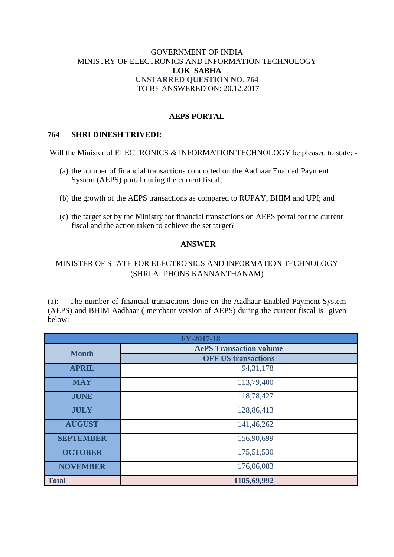### GOVERNMENT OF INDIA MINISTRY OF ELECTRONICS AND INFORMATION TECHNOLOGY **LOK SABHA UNSTARRED QUESTION NO. 764** TO BE ANSWERED ON: 20.12.2017

## **AEPS PORTAL**

### **764 SHRI DINESH TRIVEDI:**

Will the Minister of ELECTRONICS & INFORMATION TECHNOLOGY be pleased to state: -

- (a) the number of financial transactions conducted on the Aadhaar Enabled Payment System (AEPS) portal during the current fiscal;
- (b) the growth of the AEPS transactions as compared to RUPAY, BHIM and UPI; and
- (c) the target set by the Ministry for financial transactions on AEPS portal for the current fiscal and the action taken to achieve the set target?

#### **ANSWER**

# MINISTER OF STATE FOR ELECTRONICS AND INFORMATION TECHNOLOGY (SHRI ALPHONS KANNANTHANAM)

(a): The number of financial transactions done on the Aadhaar Enabled Payment System (AEPS) and BHIM Aadhaar ( merchant version of AEPS) during the current fiscal is given below:-

| <b>FY-2017-18</b> |                                |  |  |  |
|-------------------|--------------------------------|--|--|--|
| <b>Month</b>      | <b>AePS Transaction volume</b> |  |  |  |
|                   | <b>OFF US transactions</b>     |  |  |  |
| <b>APRIL</b>      | 94, 31, 178                    |  |  |  |
| <b>MAY</b>        | 113,79,400                     |  |  |  |
| <b>JUNE</b>       | 118,78,427                     |  |  |  |
| <b>JULY</b>       | 128,86,413                     |  |  |  |
| <b>AUGUST</b>     | 141,46,262                     |  |  |  |
| <b>SEPTEMBER</b>  | 156,90,699                     |  |  |  |
| <b>OCTOBER</b>    | 175,51,530                     |  |  |  |
| <b>NOVEMBER</b>   | 176,06,083                     |  |  |  |
| <b>Total</b>      | 1105,69,992                    |  |  |  |